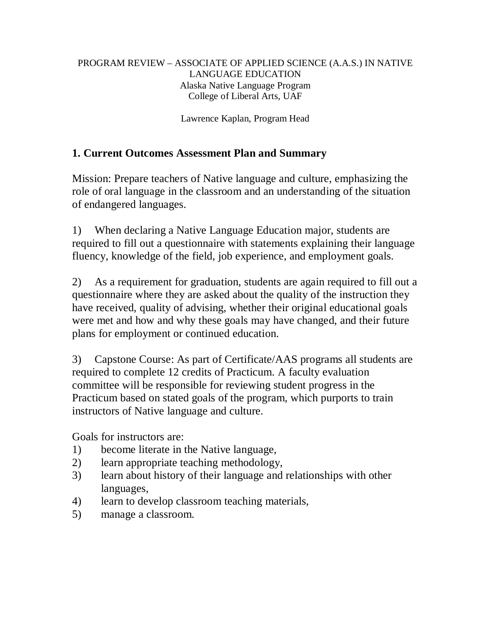## PROGRAM REVIEW – ASSOCIATE OF APPLIED SCIENCE (A.A.S.) IN NATIVE LANGUAGE EDUCATION Alaska Native Language Program College of Liberal Arts, UAF

Lawrence Kaplan, Program Head

# **1. Current Outcomes Assessment Plan and Summary**

Mission: Prepare teachers of Native language and culture, emphasizing the role of oral language in the classroom and an understanding of the situation of endangered languages.

1) When declaring a Native Language Education major, students are required to fill out a questionnaire with statements explaining their language fluency, knowledge of the field, job experience, and employment goals.

2) As a requirement for graduation, students are again required to fill out a questionnaire where they are asked about the quality of the instruction they have received, quality of advising, whether their original educational goals were met and how and why these goals may have changed, and their future plans for employment or continued education.

3) Capstone Course: As part of Certificate/AAS programs all students are required to complete 12 credits of Practicum. A faculty evaluation committee will be responsible for reviewing student progress in the Practicum based on stated goals of the program, which purports to train instructors of Native language and culture.

Goals for instructors are:

- 1) become literate in the Native language,
- 2) learn appropriate teaching methodology,
- 3) learn about history of their language and relationships with other languages,
- 4) learn to develop classroom teaching materials,
- 5) manage a classroom.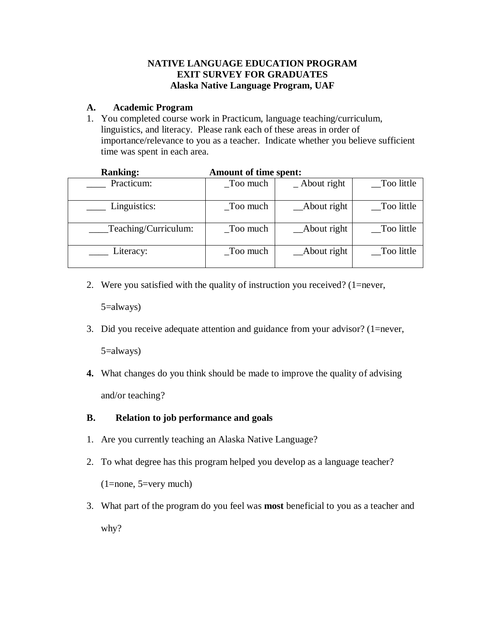## **NATIVE LANGUAGE EDUCATION PROGRAM EXIT SURVEY FOR GRADUATES Alaska Native Language Program, UAF**

## **A. Academic Program**

1. You completed course work in Practicum, language teaching/curriculum, linguistics, and literacy. Please rank each of these areas in order of importance/relevance to you as a teacher. Indicate whether you believe sufficient time was spent in each area.

| <b>Kanking:</b>      | Amount of time spent:             |                     |             |  |
|----------------------|-----------------------------------|---------------------|-------------|--|
| Practicum:           | Too much                          | $\Delta$ bout right | _Too little |  |
| Linguistics:         | $\overline{\phantom{a}}$ Too much | $\_$ About right    | _Too little |  |
| Teaching/Curriculum: | Too much                          | _About right        | Too little  |  |
| Literacy:            | Too much                          | _About right        | Too little  |  |

| <b>Ranking:</b> | Amount of time spent: |
|-----------------|-----------------------|
|-----------------|-----------------------|

2. Were you satisfied with the quality of instruction you received? (1=never,

5=always)

3. Did you receive adequate attention and guidance from your advisor? (1=never,

5=always)

**4.** What changes do you think should be made to improve the quality of advising and/or teaching?

### **B. Relation to job performance and goals**

- 1. Are you currently teaching an Alaska Native Language?
- 2. To what degree has this program helped you develop as a language teacher?

(1=none, 5=very much)

3. What part of the program do you feel was **most** beneficial to you as a teacher and why?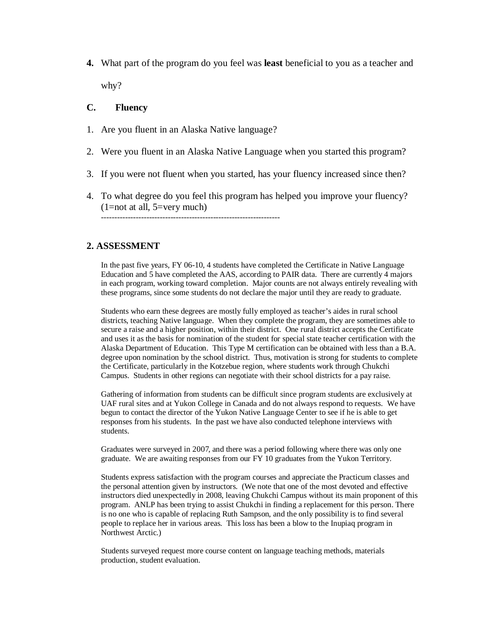**4.** What part of the program do you feel was **least** beneficial to you as a teacher and why?

#### **C. Fluency**

- 1. Are you fluent in an Alaska Native language?
- 2. Were you fluent in an Alaska Native Language when you started this program?
- 3. If you were not fluent when you started, has your fluency increased since then?
- 4. To what degree do you feel this program has helped you improve your fluency?  $(1=not at all, 5=very much)$

-------------------------------------------------------------------

#### **2. ASSESSMENT**

In the past five years, FY 06-10, 4 students have completed the Certificate in Native Language Education and 5 have completed the AAS, according to PAIR data. There are currently 4 majors in each program, working toward completion. Major counts are not always entirely revealing with these programs, since some students do not declare the major until they are ready to graduate.

Students who earn these degrees are mostly fully employed as teacher's aides in rural school districts, teaching Native language. When they complete the program, they are sometimes able to secure a raise and a higher position, within their district. One rural district accepts the Certificate and uses it as the basis for nomination of the student for special state teacher certification with the Alaska Department of Education. This Type M certification can be obtained with less than a B.A. degree upon nomination by the school district. Thus, motivation is strong for students to complete the Certificate, particularly in the Kotzebue region, where students work through Chukchi Campus. Students in other regions can negotiate with their school districts for a pay raise.

Gathering of information from students can be difficult since program students are exclusively at UAF rural sites and at Yukon College in Canada and do not always respond to requests. We have begun to contact the director of the Yukon Native Language Center to see if he is able to get responses from his students. In the past we have also conducted telephone interviews with students.

Graduates were surveyed in 2007, and there was a period following where there was only one graduate. We are awaiting responses from our FY 10 graduates from the Yukon Territory.

Students express satisfaction with the program courses and appreciate the Practicum classes and the personal attention given by instructors. (We note that one of the most devoted and effective instructors died unexpectedly in 2008, leaving Chukchi Campus without its main proponent of this program. ANLP has been trying to assist Chukchi in finding a replacement for this person. There is no one who is capable of replacing Ruth Sampson, and the only possibility is to find several people to replace her in various areas. This loss has been a blow to the Inupiaq program in Northwest Arctic.)

Students surveyed request more course content on language teaching methods, materials production, student evaluation.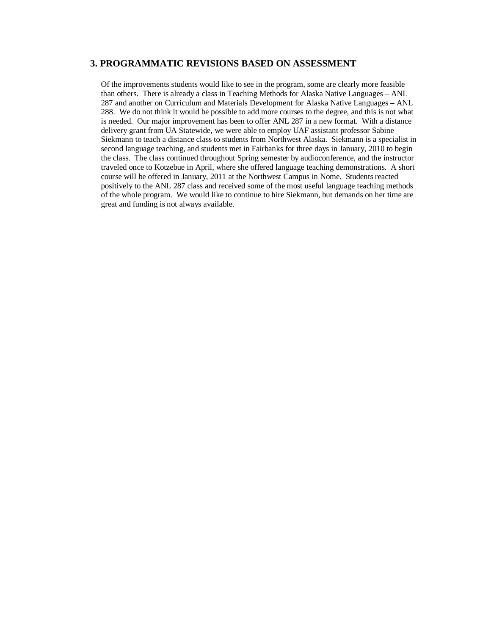#### **3. PROGRAMMATIC REVISIONS BASED ON ASSESSMENT**

Of the improvements students would like to see in the program, some are clearly more feasible than others. There is already a class in Teaching Methods for Alaska Native Languages – ANL 287 and another on Curriculum and Materials Development for Alaska Native Languages – ANL 288. We do not think it would be possible to add more courses to the degree, and this is not what is needed. Our major improvement has been to offer ANL 287 in a new format. With a distance delivery grant from UA Statewide, we were able to employ UAF assistant professor Sabine Siekmann to teach a distance class to students from Northwest Alaska. Siekmann is a specialist in second language teaching, and students met in Fairbanks for three days in January, 2010 to begin the class. The class continued throughout Spring semester by audioconference, and the instructor traveled once to Kotzebue in April, where she offered language teaching demonstrations. A short course will be offered in January, 2011 at the Northwest Campus in Nome. Students reacted positively to the ANL 287 class and received some of the most useful language teaching methods of the whole program. We would like to continue to hire Siekmann, but demands on her time are great and funding is not always available.